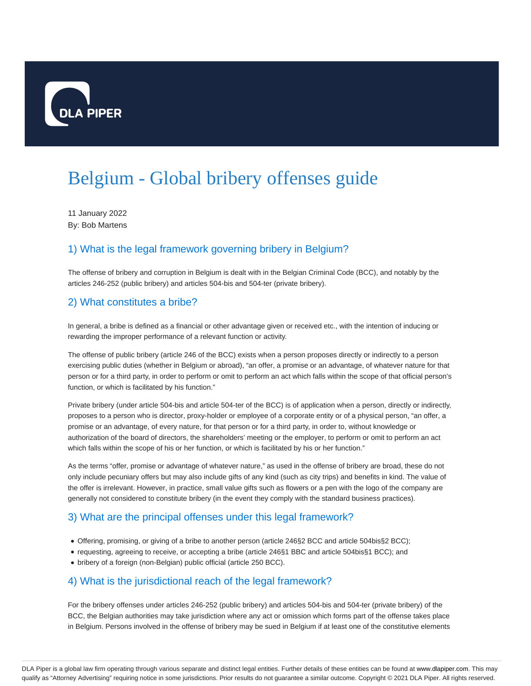

# Belgium - Global bribery offenses guide

11 January 2022 By: Bob Martens

# 1) What is the legal framework governing bribery in Belgium?

The offense of bribery and corruption in Belgium is dealt with in the Belgian Criminal Code (BCC), and notably by the articles 246-252 (public bribery) and articles 504-bis and 504-ter (private bribery).

# 2) What constitutes a bribe?

In general, a bribe is defined as a financial or other advantage given or received etc., with the intention of inducing or rewarding the improper performance of a relevant function or activity.

The offense of public bribery (article 246 of the BCC) exists when a person proposes directly or indirectly to a person exercising public duties (whether in Belgium or abroad), "an offer, a promise or an advantage, of whatever nature for that person or for a third party, in order to perform or omit to perform an act which falls within the scope of that official person's function, or which is facilitated by his function."

Private bribery (under article 504-bis and article 504-ter of the BCC) is of application when a person, directly or indirectly, proposes to a person who is director, proxy-holder or employee of a corporate entity or of a physical person, "an offer, a promise or an advantage, of every nature, for that person or for a third party, in order to, without knowledge or authorization of the board of directors, the shareholders' meeting or the employer, to perform or omit to perform an act which falls within the scope of his or her function, or which is facilitated by his or her function."

As the terms "offer, promise or advantage of whatever nature," as used in the offense of bribery are broad, these do not only include pecuniary offers but may also include gifts of any kind (such as city trips) and benefits in kind. The value of the offer is irrelevant. However, in practice, small value gifts such as flowers or a pen with the logo of the company are generally not considered to constitute bribery (in the event they comply with the standard business practices).

# 3) What are the principal offenses under this legal framework?

- Offering, promising, or giving of a bribe to another person (article 246§2 BCC and article 504bis§2 BCC);
- requesting, agreeing to receive, or accepting a bribe (article 246§1 BBC and article 504bis§1 BCC); and
- bribery of a foreign (non-Belgian) public official (article 250 BCC).

# 4) What is the jurisdictional reach of the legal framework?

For the bribery offenses under articles 246-252 (public bribery) and articles 504-bis and 504-ter (private bribery) of the BCC, the Belgian authorities may take jurisdiction where any act or omission which forms part of the offense takes place in Belgium. Persons involved in the offense of bribery may be sued in Belgium if at least one of the constitutive elements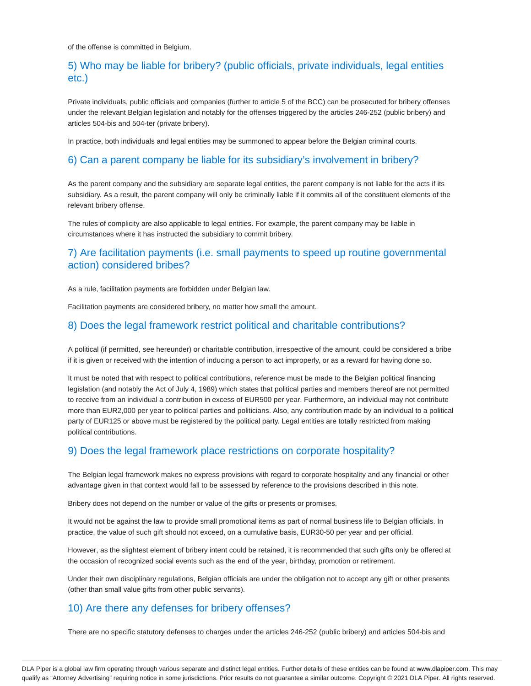of the offense is committed in Belgium.

# 5) Who may be liable for bribery? (public officials, private individuals, legal entities etc.)

Private individuals, public officials and companies (further to article 5 of the BCC) can be prosecuted for bribery offenses under the relevant Belgian legislation and notably for the offenses triggered by the articles 246-252 (public bribery) and articles 504-bis and 504-ter (private bribery).

In practice, both individuals and legal entities may be summoned to appear before the Belgian criminal courts.

#### 6) Can a parent company be liable for its subsidiary's involvement in bribery?

As the parent company and the subsidiary are separate legal entities, the parent company is not liable for the acts if its subsidiary. As a result, the parent company will only be criminally liable if it commits all of the constituent elements of the relevant bribery offense.

The rules of complicity are also applicable to legal entities. For example, the parent company may be liable in circumstances where it has instructed the subsidiary to commit bribery.

# 7) Are facilitation payments (i.e. small payments to speed up routine governmental action) considered bribes?

As a rule, facilitation payments are forbidden under Belgian law.

Facilitation payments are considered bribery, no matter how small the amount.

#### 8) Does the legal framework restrict political and charitable contributions?

A political (if permitted, see hereunder) or charitable contribution, irrespective of the amount, could be considered a bribe if it is given or received with the intention of inducing a person to act improperly, or as a reward for having done so.

It must be noted that with respect to political contributions, reference must be made to the Belgian political financing legislation (and notably the Act of July 4, 1989) which states that political parties and members thereof are not permitted to receive from an individual a contribution in excess of EUR500 per year. Furthermore, an individual may not contribute more than EUR2,000 per year to political parties and politicians. Also, any contribution made by an individual to a political party of EUR125 or above must be registered by the political party. Legal entities are totally restricted from making political contributions.

# 9) Does the legal framework place restrictions on corporate hospitality?

The Belgian legal framework makes no express provisions with regard to corporate hospitality and any financial or other advantage given in that context would fall to be assessed by reference to the provisions described in this note.

Bribery does not depend on the number or value of the gifts or presents or promises.

It would not be against the law to provide small promotional items as part of normal business life to Belgian officials. In practice, the value of such gift should not exceed, on a cumulative basis, EUR30-50 per year and per official.

However, as the slightest element of bribery intent could be retained, it is recommended that such gifts only be offered at the occasion of recognized social events such as the end of the year, birthday, promotion or retirement.

Under their own disciplinary regulations, Belgian officials are under the obligation not to accept any gift or other presents (other than small value gifts from other public servants).

# 10) Are there any defenses for bribery offenses?

There are no specific statutory defenses to charges under the articles 246-252 (public bribery) and articles 504-bis and